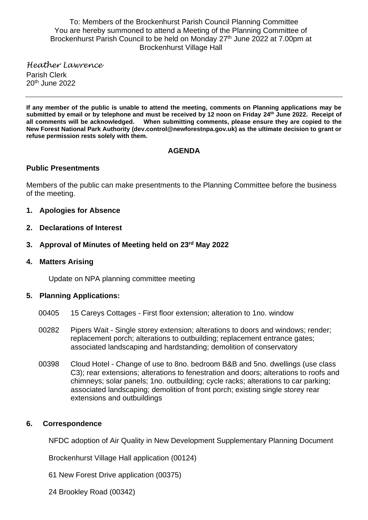To: Members of the Brockenhurst Parish Council Planning Committee You are hereby summoned to attend a Meeting of the Planning Committee of Brockenhurst Parish Council to be held on Monday 27<sup>th</sup> June 2022 at 7.00pm at Brockenhurst Village Hall

*Heather Lawrence* Parish Clerk 20th June 2022

**If any member of the public is unable to attend the meeting, comments on Planning applications may be submitted by email or by telephone and must be received by 12 noon on Friday 24 th June 2022. Receipt of all comments will be acknowledged. When submitting comments, please ensure they are copied to the New Forest National Park Authority (dev.control@newforestnpa.gov.uk) as the ultimate decision to grant or refuse permission rests solely with them.**

## **AGENDA**

## **Public Presentments**

Members of the public can make presentments to the Planning Committee before the business of the meeting.

- **1. Apologies for Absence**
- **2. Declarations of Interest**
- **3. Approval of Minutes of Meeting held on 23rd May 2022**
- **4. Matters Arising**

Update on NPA planning committee meeting

## **5. Planning Applications:**

- 00405 15 Careys Cottages First floor extension; alteration to 1no. window
- 00282 Pipers Wait Single storey extension; alterations to doors and windows; render; replacement porch; alterations to outbuilding; replacement entrance gates; associated landscaping and hardstanding; demolition of conservatory
- 00398 Cloud Hotel Change of use to 8no. bedroom B&B and 5no. dwellings (use class C3); rear extensions; alterations to fenestration and doors; alterations to roofs and chimneys; solar panels; 1no. outbuilding; cycle racks; alterations to car parking; associated landscaping; demolition of front porch; existing single storey rear extensions and outbuildings

## **6. Correspondence**

NFDC adoption of Air Quality in New Development Supplementary Planning Document

Brockenhurst Village Hall application (00124)

61 New Forest Drive application (00375)

24 Brookley Road (00342)